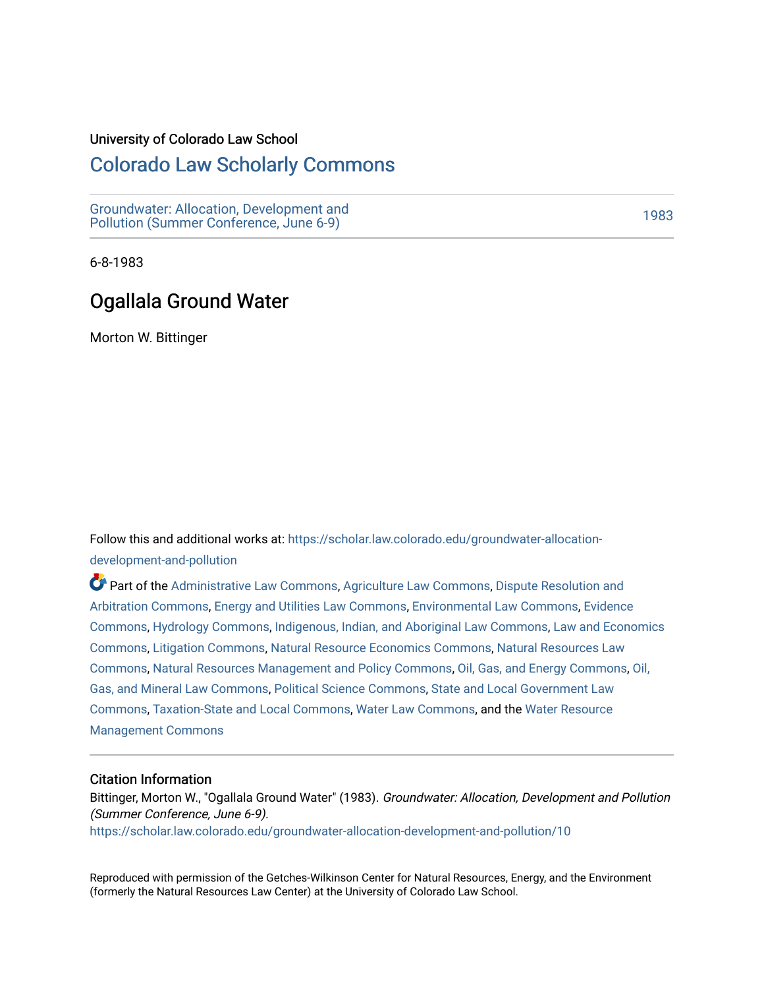#### University of Colorado Law School

## [Colorado Law Scholarly Commons](https://scholar.law.colorado.edu/)

[Groundwater: Allocation, Development and](https://scholar.law.colorado.edu/groundwater-allocation-development-and-pollution)  Giodinavater. Anocation, Development and<br>Pollution (Summer Conference, June 6-9)

6-8-1983

# Ogallala Ground Water

Morton W. Bittinger

Follow this and additional works at: [https://scholar.law.colorado.edu/groundwater-allocation](https://scholar.law.colorado.edu/groundwater-allocation-development-and-pollution?utm_source=scholar.law.colorado.edu%2Fgroundwater-allocation-development-and-pollution%2F10&utm_medium=PDF&utm_campaign=PDFCoverPages)[development-and-pollution](https://scholar.law.colorado.edu/groundwater-allocation-development-and-pollution?utm_source=scholar.law.colorado.edu%2Fgroundwater-allocation-development-and-pollution%2F10&utm_medium=PDF&utm_campaign=PDFCoverPages)

Part of the [Administrative Law Commons,](http://network.bepress.com/hgg/discipline/579?utm_source=scholar.law.colorado.edu%2Fgroundwater-allocation-development-and-pollution%2F10&utm_medium=PDF&utm_campaign=PDFCoverPages) [Agriculture Law Commons](http://network.bepress.com/hgg/discipline/581?utm_source=scholar.law.colorado.edu%2Fgroundwater-allocation-development-and-pollution%2F10&utm_medium=PDF&utm_campaign=PDFCoverPages), [Dispute Resolution and](http://network.bepress.com/hgg/discipline/890?utm_source=scholar.law.colorado.edu%2Fgroundwater-allocation-development-and-pollution%2F10&utm_medium=PDF&utm_campaign=PDFCoverPages) [Arbitration Commons](http://network.bepress.com/hgg/discipline/890?utm_source=scholar.law.colorado.edu%2Fgroundwater-allocation-development-and-pollution%2F10&utm_medium=PDF&utm_campaign=PDFCoverPages), [Energy and Utilities Law Commons](http://network.bepress.com/hgg/discipline/891?utm_source=scholar.law.colorado.edu%2Fgroundwater-allocation-development-and-pollution%2F10&utm_medium=PDF&utm_campaign=PDFCoverPages), [Environmental Law Commons,](http://network.bepress.com/hgg/discipline/599?utm_source=scholar.law.colorado.edu%2Fgroundwater-allocation-development-and-pollution%2F10&utm_medium=PDF&utm_campaign=PDFCoverPages) [Evidence](http://network.bepress.com/hgg/discipline/601?utm_source=scholar.law.colorado.edu%2Fgroundwater-allocation-development-and-pollution%2F10&utm_medium=PDF&utm_campaign=PDFCoverPages)  [Commons](http://network.bepress.com/hgg/discipline/601?utm_source=scholar.law.colorado.edu%2Fgroundwater-allocation-development-and-pollution%2F10&utm_medium=PDF&utm_campaign=PDFCoverPages), [Hydrology Commons](http://network.bepress.com/hgg/discipline/1054?utm_source=scholar.law.colorado.edu%2Fgroundwater-allocation-development-and-pollution%2F10&utm_medium=PDF&utm_campaign=PDFCoverPages), [Indigenous, Indian, and Aboriginal Law Commons](http://network.bepress.com/hgg/discipline/894?utm_source=scholar.law.colorado.edu%2Fgroundwater-allocation-development-and-pollution%2F10&utm_medium=PDF&utm_campaign=PDFCoverPages), [Law and Economics](http://network.bepress.com/hgg/discipline/612?utm_source=scholar.law.colorado.edu%2Fgroundwater-allocation-development-and-pollution%2F10&utm_medium=PDF&utm_campaign=PDFCoverPages)  [Commons](http://network.bepress.com/hgg/discipline/612?utm_source=scholar.law.colorado.edu%2Fgroundwater-allocation-development-and-pollution%2F10&utm_medium=PDF&utm_campaign=PDFCoverPages), [Litigation Commons,](http://network.bepress.com/hgg/discipline/910?utm_source=scholar.law.colorado.edu%2Fgroundwater-allocation-development-and-pollution%2F10&utm_medium=PDF&utm_campaign=PDFCoverPages) [Natural Resource Economics Commons,](http://network.bepress.com/hgg/discipline/169?utm_source=scholar.law.colorado.edu%2Fgroundwater-allocation-development-and-pollution%2F10&utm_medium=PDF&utm_campaign=PDFCoverPages) [Natural Resources Law](http://network.bepress.com/hgg/discipline/863?utm_source=scholar.law.colorado.edu%2Fgroundwater-allocation-development-and-pollution%2F10&utm_medium=PDF&utm_campaign=PDFCoverPages)  [Commons](http://network.bepress.com/hgg/discipline/863?utm_source=scholar.law.colorado.edu%2Fgroundwater-allocation-development-and-pollution%2F10&utm_medium=PDF&utm_campaign=PDFCoverPages), [Natural Resources Management and Policy Commons,](http://network.bepress.com/hgg/discipline/170?utm_source=scholar.law.colorado.edu%2Fgroundwater-allocation-development-and-pollution%2F10&utm_medium=PDF&utm_campaign=PDFCoverPages) [Oil, Gas, and Energy Commons,](http://network.bepress.com/hgg/discipline/171?utm_source=scholar.law.colorado.edu%2Fgroundwater-allocation-development-and-pollution%2F10&utm_medium=PDF&utm_campaign=PDFCoverPages) [Oil,](http://network.bepress.com/hgg/discipline/864?utm_source=scholar.law.colorado.edu%2Fgroundwater-allocation-development-and-pollution%2F10&utm_medium=PDF&utm_campaign=PDFCoverPages)  [Gas, and Mineral Law Commons](http://network.bepress.com/hgg/discipline/864?utm_source=scholar.law.colorado.edu%2Fgroundwater-allocation-development-and-pollution%2F10&utm_medium=PDF&utm_campaign=PDFCoverPages), [Political Science Commons](http://network.bepress.com/hgg/discipline/386?utm_source=scholar.law.colorado.edu%2Fgroundwater-allocation-development-and-pollution%2F10&utm_medium=PDF&utm_campaign=PDFCoverPages), [State and Local Government Law](http://network.bepress.com/hgg/discipline/879?utm_source=scholar.law.colorado.edu%2Fgroundwater-allocation-development-and-pollution%2F10&utm_medium=PDF&utm_campaign=PDFCoverPages) [Commons](http://network.bepress.com/hgg/discipline/879?utm_source=scholar.law.colorado.edu%2Fgroundwater-allocation-development-and-pollution%2F10&utm_medium=PDF&utm_campaign=PDFCoverPages), [Taxation-State and Local Commons](http://network.bepress.com/hgg/discipline/882?utm_source=scholar.law.colorado.edu%2Fgroundwater-allocation-development-and-pollution%2F10&utm_medium=PDF&utm_campaign=PDFCoverPages), [Water Law Commons,](http://network.bepress.com/hgg/discipline/887?utm_source=scholar.law.colorado.edu%2Fgroundwater-allocation-development-and-pollution%2F10&utm_medium=PDF&utm_campaign=PDFCoverPages) and the [Water Resource](http://network.bepress.com/hgg/discipline/1057?utm_source=scholar.law.colorado.edu%2Fgroundwater-allocation-development-and-pollution%2F10&utm_medium=PDF&utm_campaign=PDFCoverPages) [Management Commons](http://network.bepress.com/hgg/discipline/1057?utm_source=scholar.law.colorado.edu%2Fgroundwater-allocation-development-and-pollution%2F10&utm_medium=PDF&utm_campaign=PDFCoverPages)

#### Citation Information

Bittinger, Morton W., "Ogallala Ground Water" (1983). Groundwater: Allocation, Development and Pollution (Summer Conference, June 6-9). [https://scholar.law.colorado.edu/groundwater-allocation-development-and-pollution/10](https://scholar.law.colorado.edu/groundwater-allocation-development-and-pollution/10?utm_source=scholar.law.colorado.edu%2Fgroundwater-allocation-development-and-pollution%2F10&utm_medium=PDF&utm_campaign=PDFCoverPages) 

Reproduced with permission of the Getches-Wilkinson Center for Natural Resources, Energy, and the Environment (formerly the Natural Resources Law Center) at the University of Colorado Law School.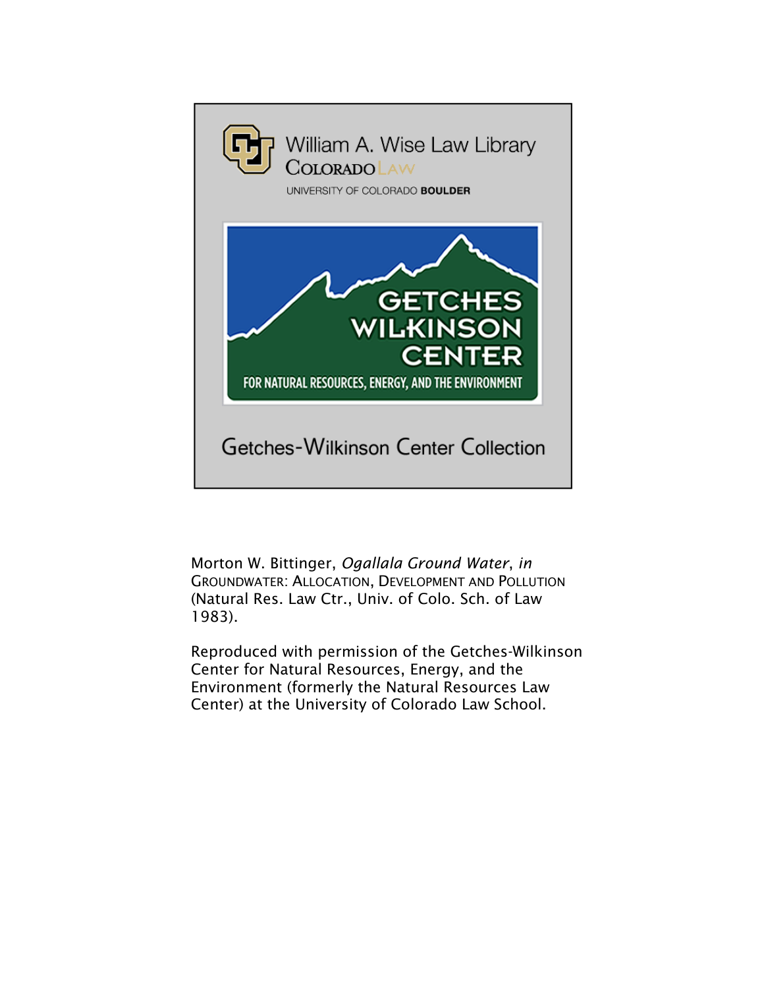

Morton W. Bittinger, *Ogallala Ground Water*, *in* GROUNDWATER: ALLOCATION, DEVELOPMENT AND POLLUTION (Natural Res. Law Ctr., Univ. of Colo. Sch. of Law 1983).

Reproduced with permission of the Getches-Wilkinson Center for Natural Resources, Energy, and the Environment (formerly the Natural Resources Law Center) at the University of Colorado Law School.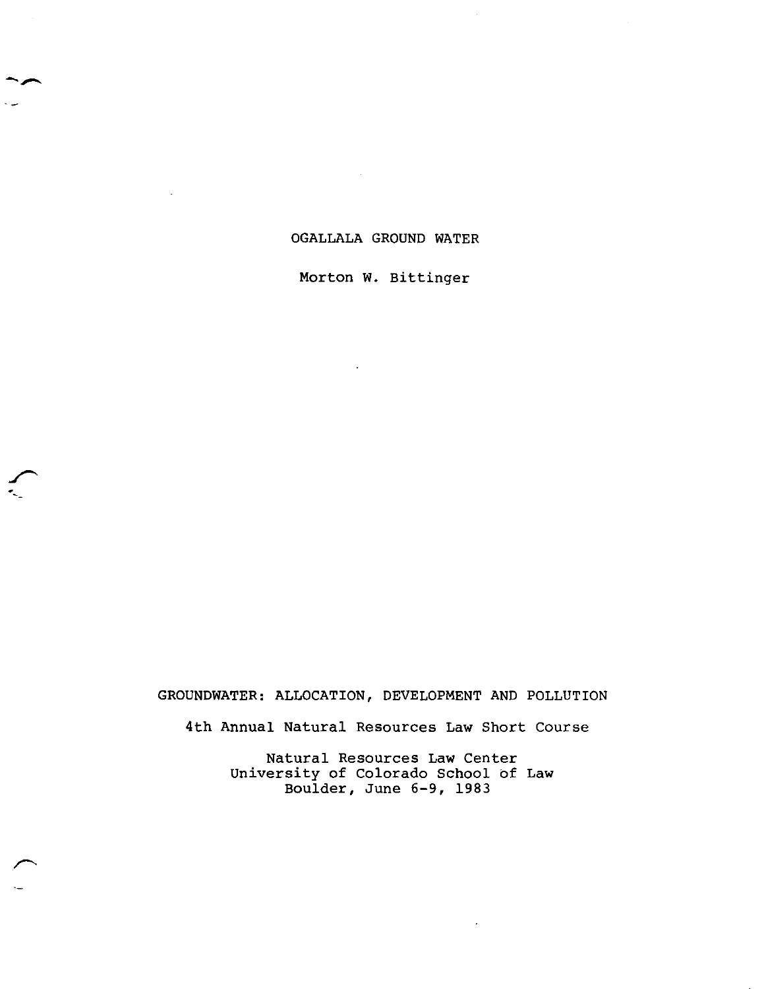### OGALLALA GROUND WATER

 $\overline{\phantom{a}}$ 

Morton W. Bittinger

GROUNDWATER: ALLOCATION, DEVELOPMENT AND POLLUTION

4th Annual Natural Resources Law Short Course

Natural Resources Law Center University of Colorado School of Law Boulder, June 6-9, 1983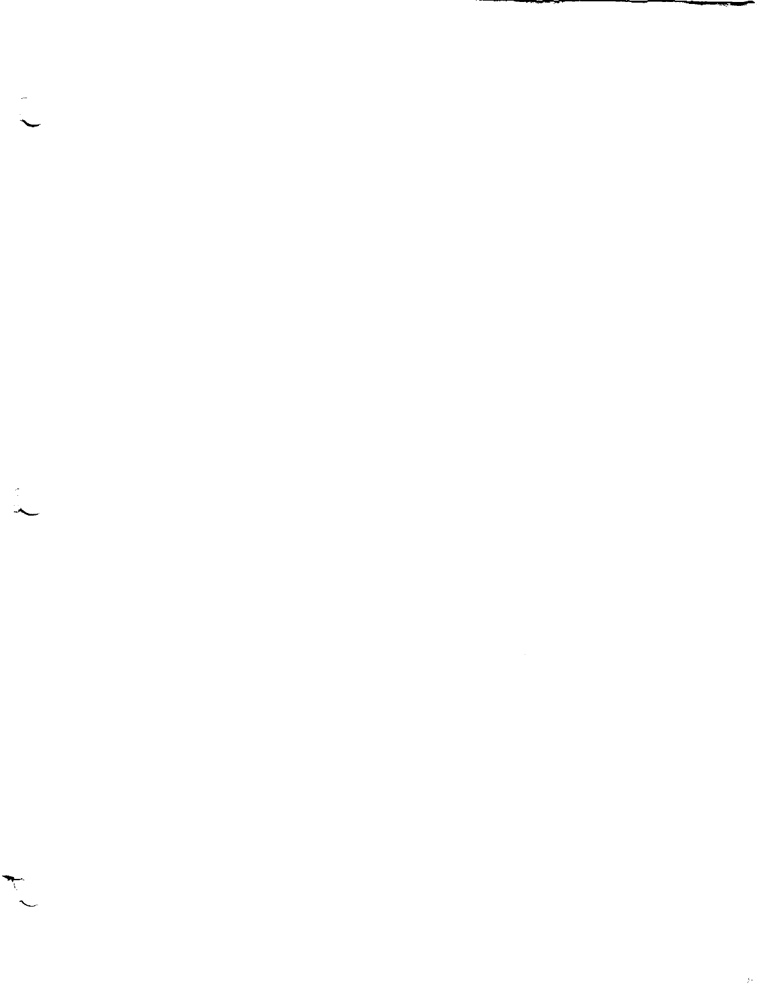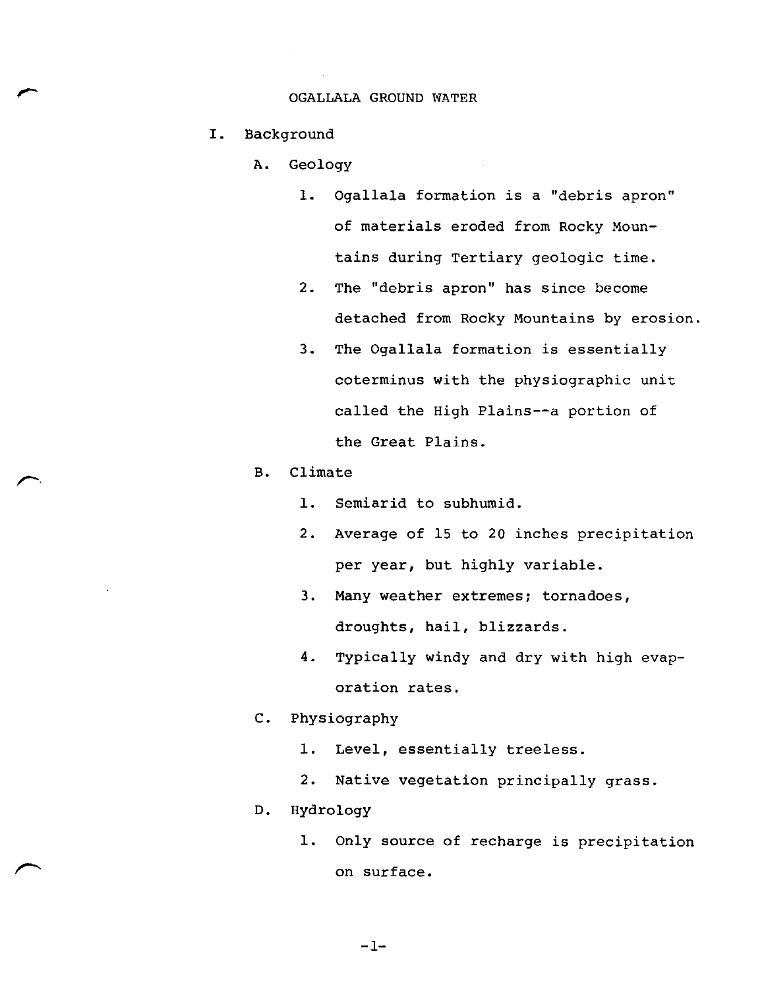#### OGALLALA GROUND WATER

- I. Background
	- A. Geology
		- 1. Ogallala formation is a "debris apron" of materials eroded from Rocky Mountains during Tertiary geologic time.
		- 2. The "debris apron" has since become detached from Rocky Mountains by erosion.
		- 3. The Ogallala formation is essentially coterminus with the physiographic unit called the High Plains--a portion of the Great Plains.
	- B. Climate
		- 1. Semiarid to subhumid.
		- 2. Average of 15 to 20 inches precipitation per year, but highly variable.
		- 3. Many weather extremes; tornadoes, droughts, hail, blizzards.
		- 4. Typically windy and dry with high evaporation rates.
	- C. Physiography
		- 1. Level, essentially treeless.
		- 2. Native vegetation principally grass.
	- D. Hydrology
		- 1. Only source of recharge is precipitation on surface.

 $-1-$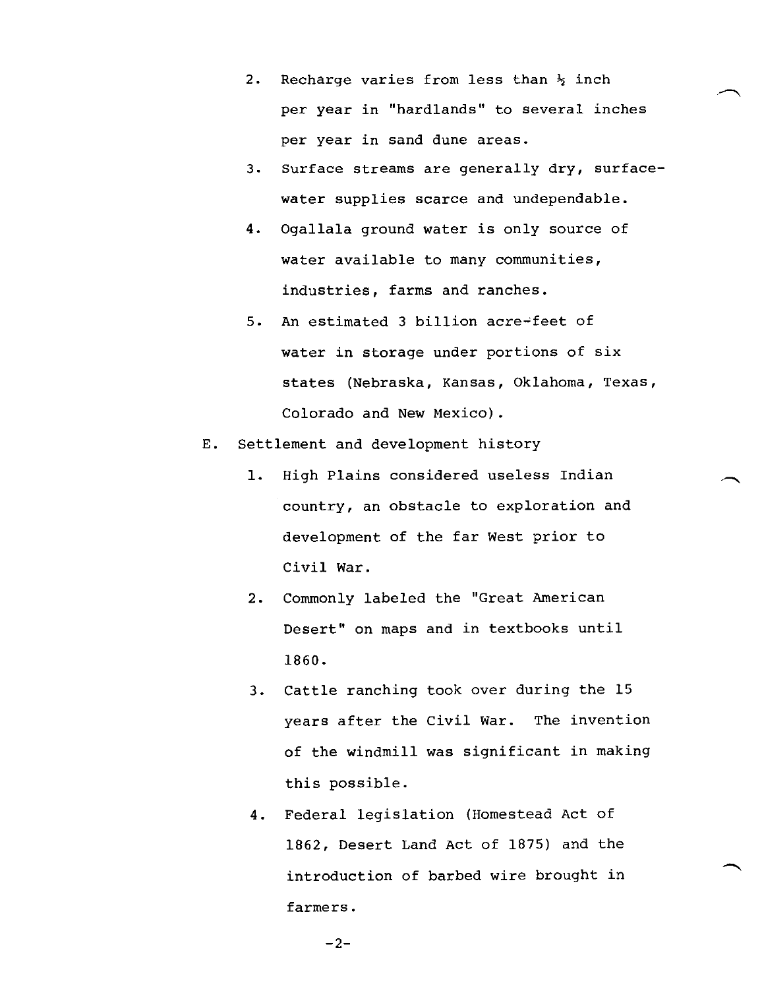- 2. Recharge varies from less than  $\frac{1}{2}$  inch per year in "hardlands" to several inches per year in sand dune areas.
- 3. Surface streams are generally dry, surfacewater supplies scarce and undependable.
- 4. Ogallala ground water is only source of water available to many communities, industries, farms and ranches.
- 5. An estimated 3 billion acre-feet of water in storage under portions of six states (Nebraska, Kansas, Oklahoma, Texas, Colorado and New Mexico).
- E. Settlement and development history
	- 1. High Plains considered useless Indian country, an obstacle to exploration and development of the far West prior to Civil War.
	- 2. Commonly labeled the "Great American Desert" on maps and in textbooks until 1860.
	- 3. Cattle ranching took over during the 15 years after the Civil War. The invention of the windmill was significant in making this possible.
	- 4. Federal legislation (Homestead Act of 1862, Desert Land Act of 1875) and the introduction of barbed wire brought in farmers.

 $-2-$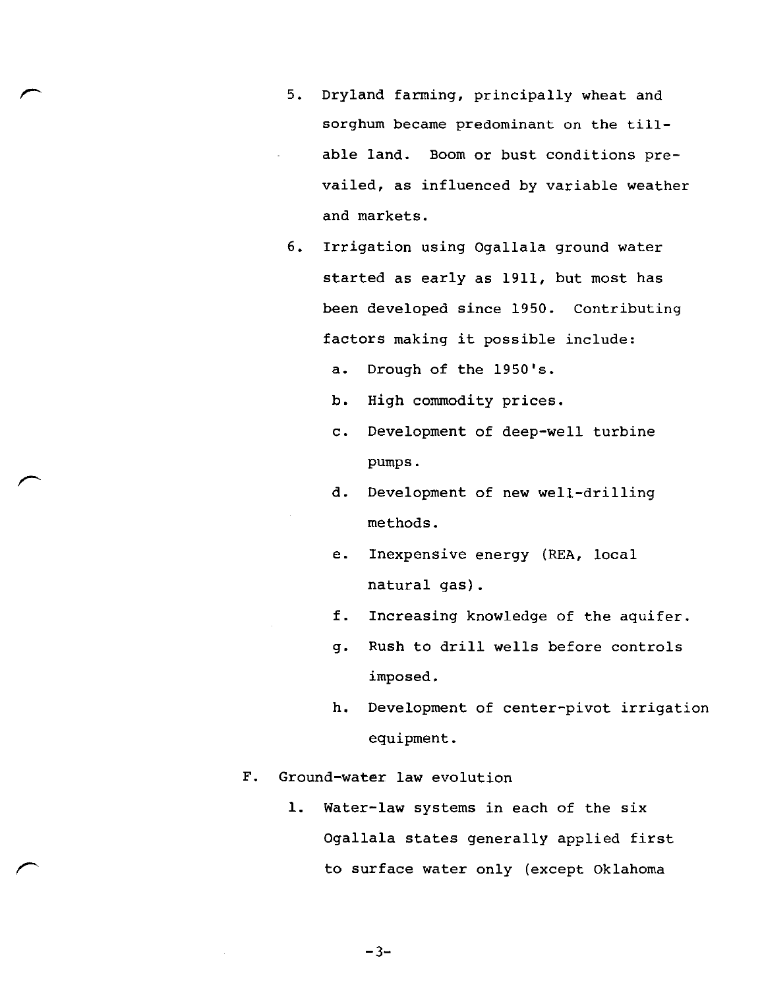- 5. Dryland farming, principally wheat and sorghum became predominant on the tillable land. Boom or bust conditions prevailed, as influenced by variable weather and markets.
- 6. Irrigation using Ogallala ground water started as early as 1911, but most has been developed since 1950. Contributing factors making it possible include:

a. Drough of the 1950's.

- b. High commodity prices.
- c. Development of deep-well turbine pumps.
- d. Development of new well-drilling methods.
- e. Inexpensive energy (REA, local natural gas).
- f. Increasing knowledge of the aquifer.
- g. Rush to drill wells before controls imposed.
- h. Development of center-pivot irrigation equipment.

### F. Ground-water law evolution

1. Water-law systems in each of the six Ogallala states generally applied first to surface water only (except Oklahoma

-3-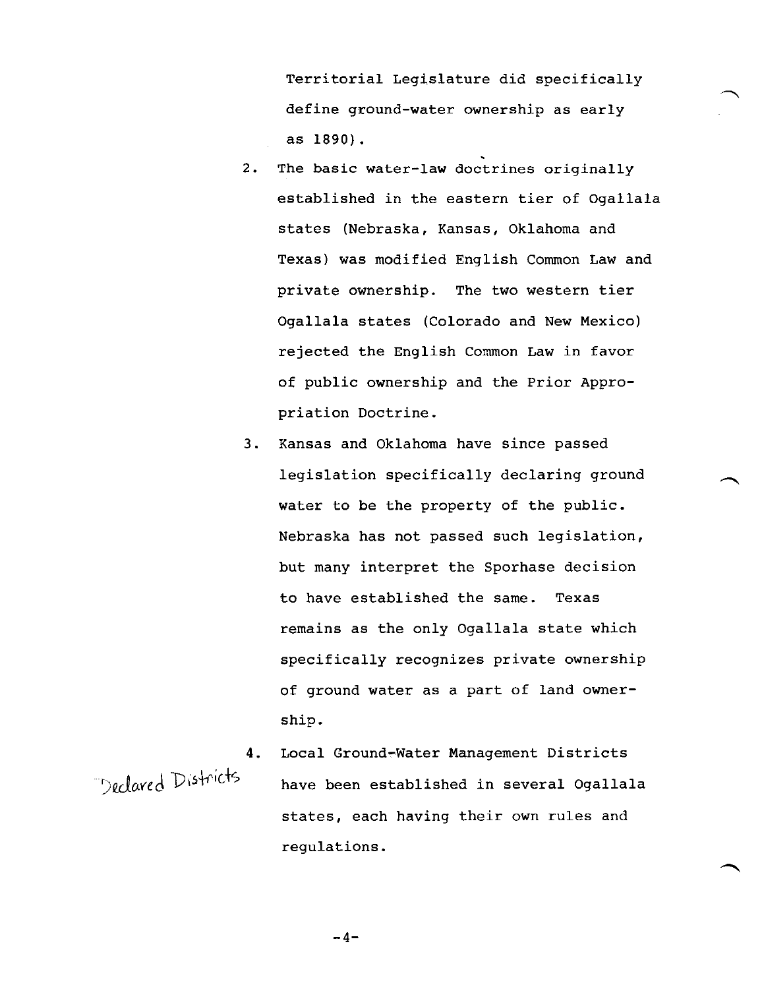Territorial Legislature did specifically define ground-water ownership as early as 1890).

- 2. The basic water-law doctrines originally established in the eastern tier of Ogallala states (Nebraska, Kansas, Oklahoma and Texas) was modified English Common Law and private ownership. The two western tier Ogallala states (Colorado and New Mexico) rejected the English Common Law in favor of public ownership and the Prior Appropriation Doctrine.
- 3. Kansas and Oklahoma have since passed legislation specifically declaring ground water to be the property of the public. Nebraska has not passed such legislation, but many interpret the Sporhase decision to have established the same. Texas remains as the only Ogallala state which specifically recognizes private ownership of ground water as a part of land ownership.
- 4. Local Ground-Water Management Districts Declaved Districts have been established in several Ogallala states, each having their own rules and regulations.

 $-4-$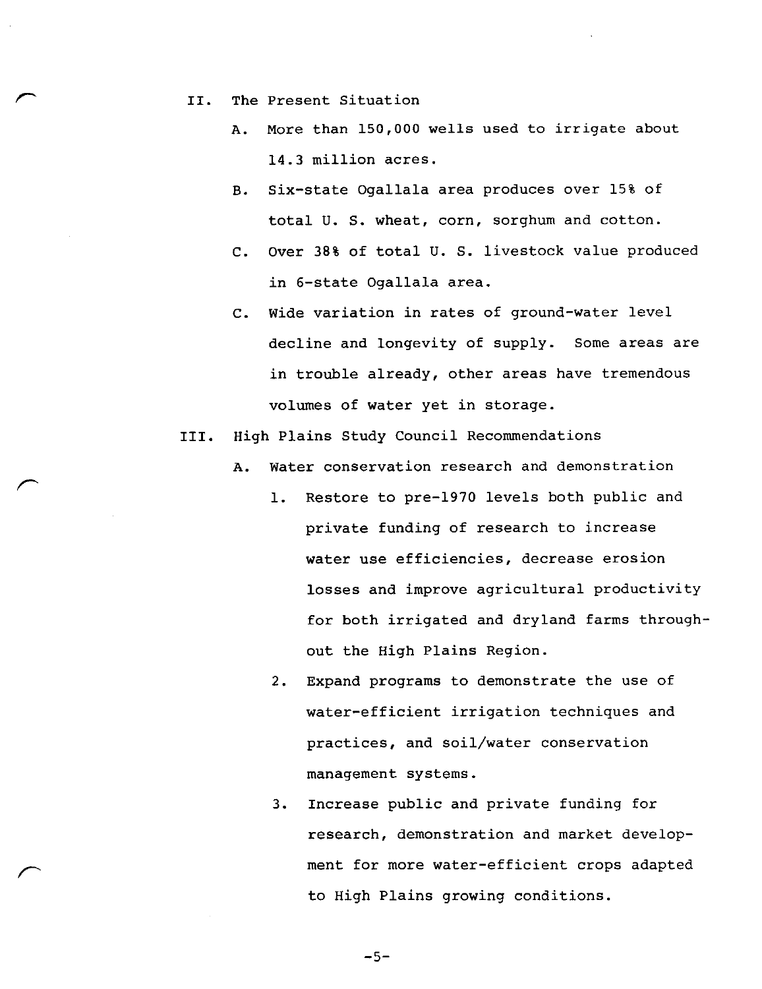- II. The Present Situation
	- A. More than 150,000 wells used to irrigate about 14.3 million acres.
	- B. Six-state Ogallala area produces over 15% of total U. S. wheat, corn, sorghum and cotton.
	- C. Over 38% of total U. S. livestock value produced in 6-state Ogallala area.
	- C. Wide variation in rates of ground-water level decline and longevity of supply. Some areas are in trouble already, other areas have tremendous volumes of water yet in storage.

III. High Plains Study Council Recommendations

- A. Water conservation research and demonstration
	- 1. Restore to pre-1970 levels both public and private funding of research to increase water use efficiencies, decrease erosion losses and improve agricultural productivity for both irrigated and dryland farms throughout the High Plains Region.
	- 2. Expand programs to demonstrate the use of water-efficient irrigation techniques and practices, and soil/water conservation management systems.
	- 3. Increase public and private funding for research, demonstration and market development for more water-efficient crops adapted to High Plains growing conditions.

-5-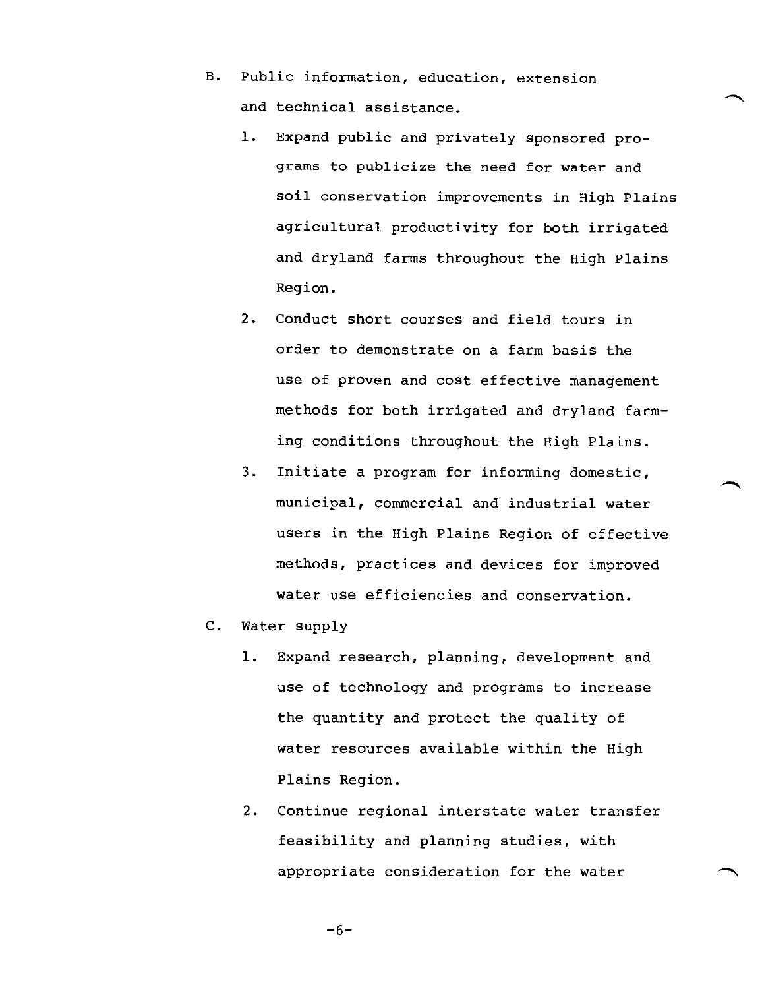- B. Public information, education, extension and technical assistance.
	- 1. Expand public and privately sponsored programs to publicize the need for water and soil conservation improvements in High Plains agricultural productivity for both irrigated and dryland farms throughout the High Plains Region.
	- 2. Conduct short courses and field tours in order to demonstrate on a farm basis the use of proven and cost effective management methods for both irrigated and dryland farming conditions throughout the High Plains.
	- 3. Initiate a program for informing domestic, municipal, commercial and industrial water users in the High Plains Region of effective methods, practices and devices for improved water use efficiencies and conservation.
- C. Water supply
	- 1. Expand research, planning, development and use of technology and programs to increase the quantity and protect the quality of water resources available within the High Plains Region.
	- 2. Continue regional interstate water transfer feasibility and planning studies, with appropriate consideration for the water

 $-6-$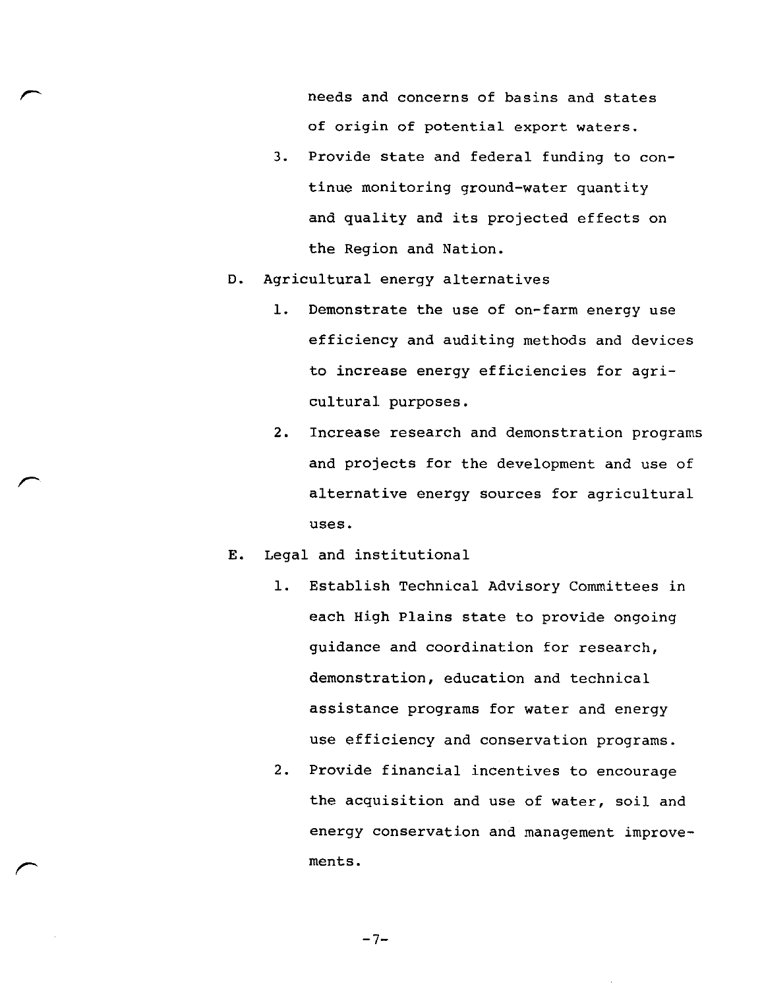needs and concerns of basins and states of origin of potential export waters.

- 3. Provide state and federal funding to continue monitoring ground-water quantity and quality and its projected effects on the Region and Nation.
- D. Agricultural energy alternatives
	- 1. Demonstrate the use of on-farm energy use efficiency and auditing methods and devices to increase energy efficiencies for agricultural purposes.
	- 2. Increase research and demonstration programs and projects for the development and use of alternative energy sources for agricultural uses.
- E. Legal and institutional
	- 1. Establish Technical Advisory Committees in each High Plains state to provide ongoing guidance and coordination for research, demonstration, education and technical assistance programs for water and energy use efficiency and conservation programs.
	- 2. Provide financial incentives to encourage the acquisition and use of water, soil and energy conservation and management improvements.

 $-7-$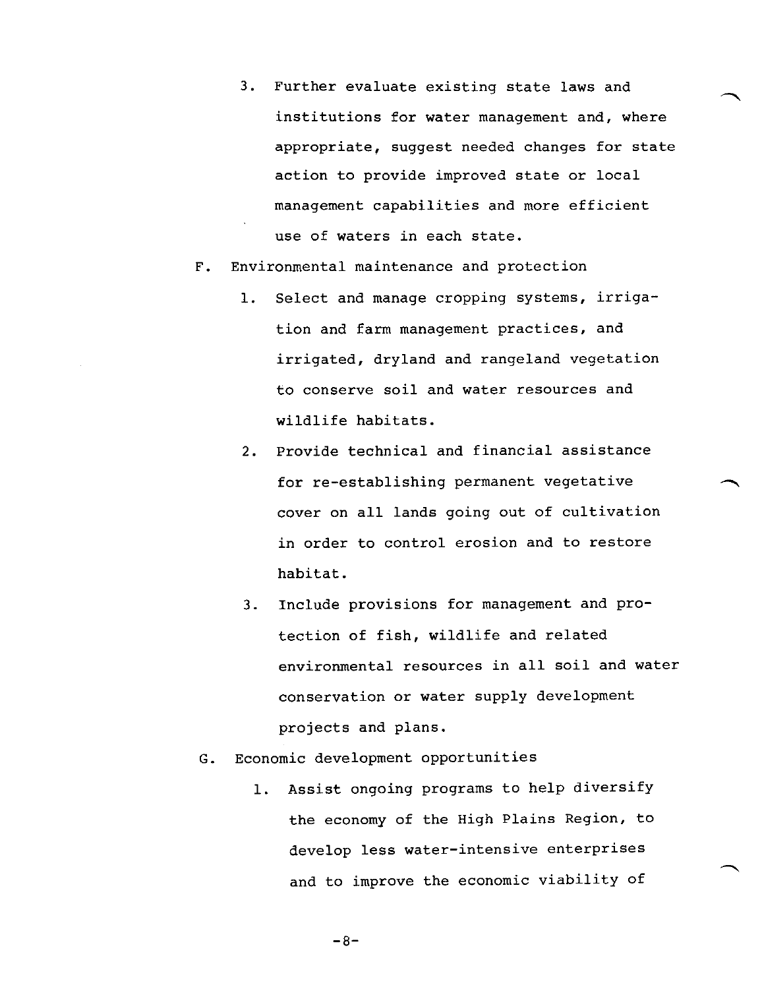- 3. Further evaluate existing state laws and institutions for water management and, where appropriate, suggest needed changes for state action to provide improved state or local management capabilities and more efficient use of waters in each state.
- F. Environmental maintenance and protection
	- 1. Select and manage cropping systems, irrigation and farm management practices, and irrigated, dryland and rangeland vegetation to conserve soil and water resources and wildlife habitats.
	- 2. Provide technical and financial assistance for re-establishing permanent vegetative cover on all lands going out of cultivation in order to control erosion and to restore habitat.
	- 3. Include provisions for management and protection of fish, wildlife and related environmental resources in all soil and water conservation or water supply development projects and plans.
- G. Economic development opportunities
	- 1. Assist ongoing programs to help diversify the economy of the High Plains Region, to develop less water-intensive enterprises and to improve the economic viability of

 $-8-$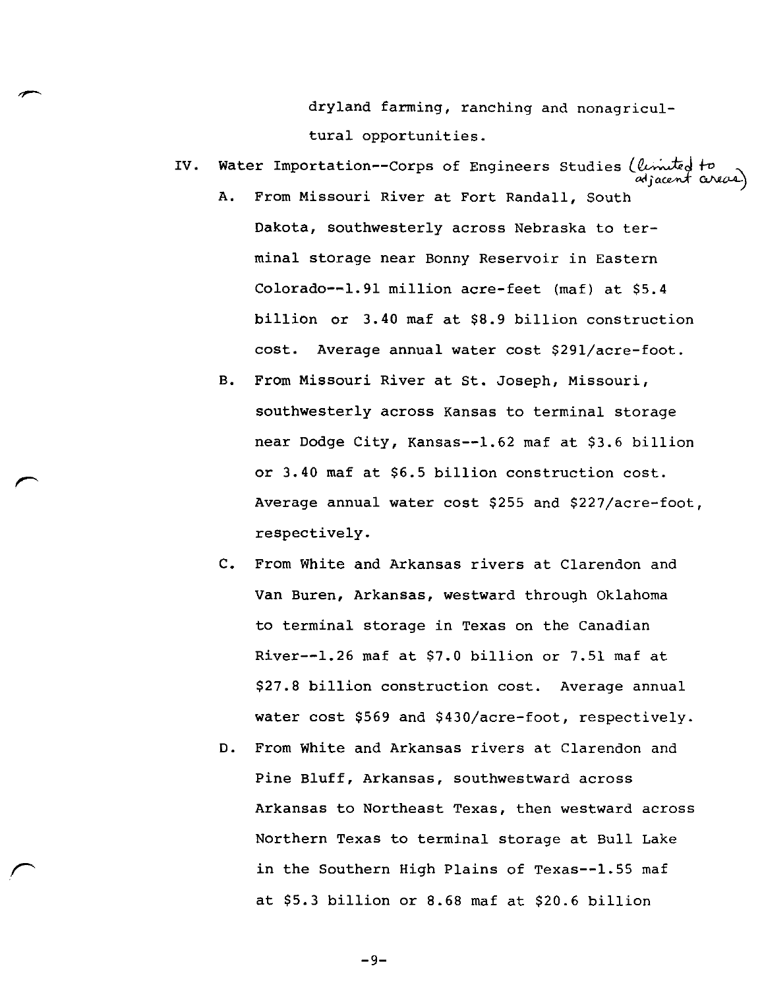dryland farming, ranching and nonagricultural opportunities.

- IV. Water Importation--Corps of Engineers Studies (limited adjacent Cereae)
	- A. From Missouri River at Fort Randall, South Dakota, southwesterly across Nebraska to terminal storage near Bonny Reservoir in Eastern Colorado--1.91 million acre-feet (maf) at \$5.4 billion or 3.40 maf at \$8.9 billion construction cost. Average annual water cost \$291/acre-foot.
	- B. From Missouri River at St. Joseph, Missouri, southwesterly across Kansas to terminal storage near Dodge City, Kansas--1.62 maf at \$3.6 billion or 3.40 maf at \$6.5 billion construction cost. Average annual water cost \$255 and \$227/acre-foot, respectively.
	- C. From White and Arkansas rivers at Clarendon and Van Buren, Arkansas, westward through Oklahoma to terminal storage in Texas on the Canadian River--1.26 maf at \$7.0 billion or 7.51 maf at \$27.8 billion construction cost. Average annual water cost \$569 and \$430/acre-foot, respectively.
	- D. From White and Arkansas rivers at Clarendon and Pine Bluff, Arkansas, southwestward across Arkansas to Northeast Texas, then westward across Northern Texas to terminal storage at Bull Lake in the Southern High Plains of Texas--1.55 maf at \$5.3 billion or 8.68 maf at \$20.6 billion

 $-9-$